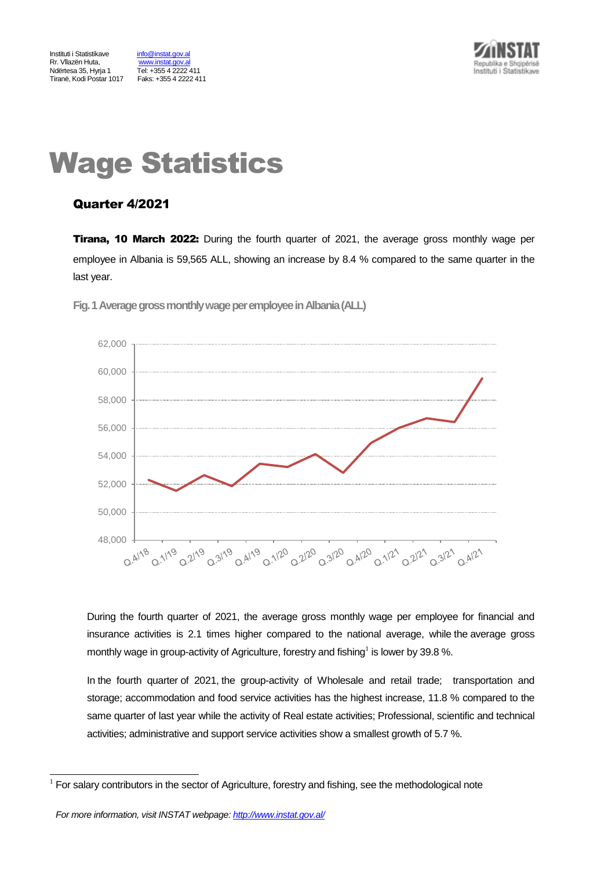Tel: +355 4 2222 411<br>Faks: +355 4 2222 411



# Wage Statistics

# Quarter 4/2021

**Tirana, 10 March 2022:** During the fourth quarter of 2021, the average gross monthly wage per employee in Albania is 59,565 ALL, showing an increase by 8.4 % compared to the same quarter in the last year.



Fig. 1 Average gross monthly wage per employee in Albania (ALL)

During the fourth quarter of 2021, the average gross monthly wage per employee for financial and insurance activities is 2.1 times higher compared to the national average, while the average gross monthly wage in group-activity of Agriculture, forestry and fishing<sup>1</sup> is lower by 39.8 %.

In the fourth quarter of 2021, the group-activity of Wholesale and retail trade; transportation and storage; accommodation and food service activities has the highest increase, 11.8 % compared to the same quarter of last year while the activity of Real estate activities; Professional, scientific and technical activities; administrative and support service activities show a smallest growth of 5.7 %.

l

<sup>1</sup> For salary contributors in the sector of Agriculture, forestry and fishing, see the methodological note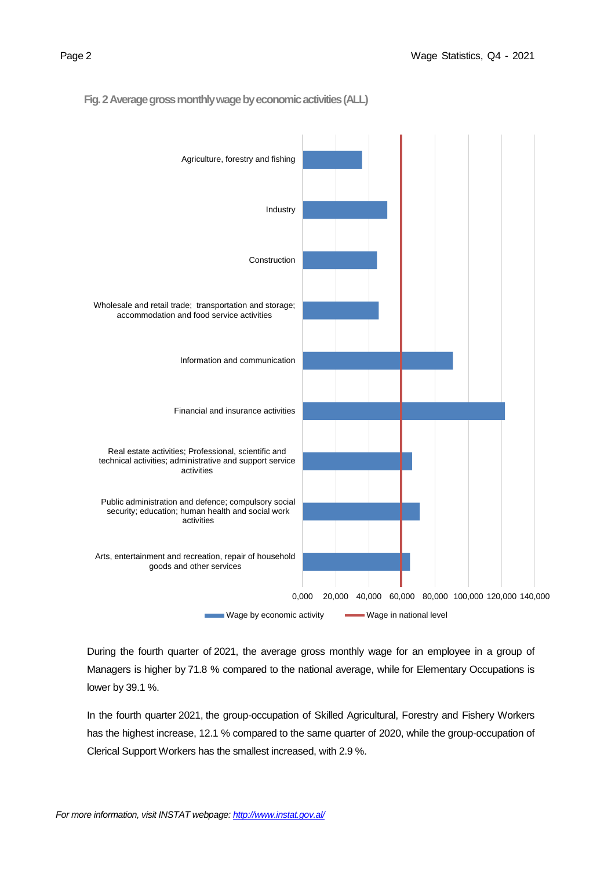

 **Fig. 2 Average gross monthly wage by economic activities(ALL)**



During the fourth quarter of 2021, the average gross monthly wage for an employee in a group of Managers is higher by 71.8 % compared to the national average, while for Elementary Occupations is lower by 39.1 %.

In the fourth quarter 2021, the group-occupation of Skilled Agricultural, Forestry and Fishery Workers has the highest increase, 12.1 % compared to the same quarter of 2020, while the group-occupation of Clerical Support Workers has the smallest increased, with 2.9 %.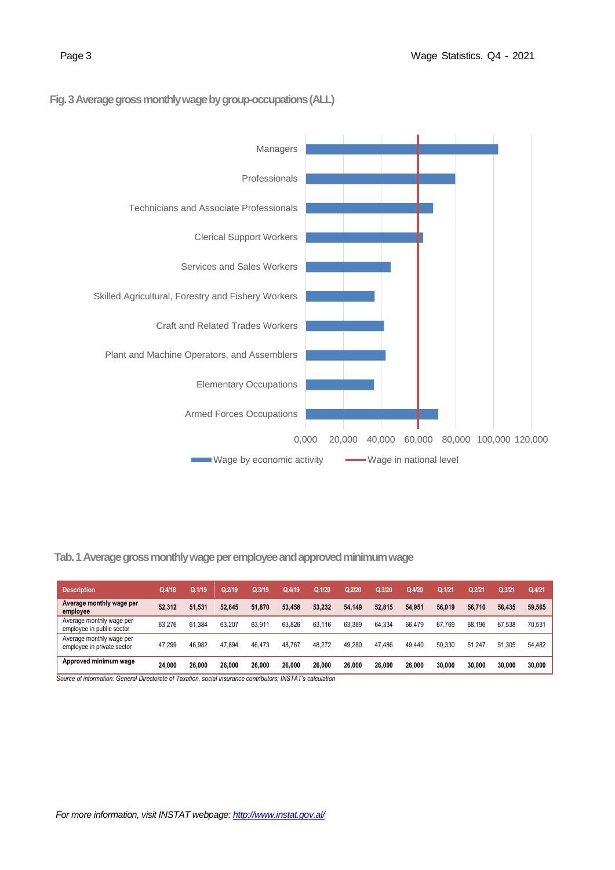## **Fig. 3Average gross monthly wage by group-occupations(ALL)**



# **Tab. 1 Average gross monthly wage per employee and approved minimum wage**

| <b>Description</b>                                     | Q.4/18 | Q.1/19 | Q.2/19 | Q.3/19 | Q.4/19 | Q.1/20 | Q.2/20 | Q.3/20 | Q.4/20 | Q.1/21 | Q.2/21 | Q.3/21 | Q.4/21 |
|--------------------------------------------------------|--------|--------|--------|--------|--------|--------|--------|--------|--------|--------|--------|--------|--------|
| Average monthly wage per<br>employee                   | 52,312 | 51.531 | 52.645 | 51.870 | 53.458 | 53.232 | 54.149 | 52.815 | 54.951 | 56.019 | 56.710 | 56.435 | 59.565 |
| Average monthly wage per<br>employee in public sector  | 63.276 | 61.384 | 63.207 | 63.911 | 63.826 | 63.116 | 63.389 | 64.334 | 66.479 | 67.769 | 68.196 | 67.538 | 70.531 |
| Average monthly wage per<br>employee in private sector | 47,299 | 46.982 | 47.894 | 46.473 | 48.767 | 48.272 | 49.280 | 47.486 | 49,440 | 50.330 | 51.247 | 51.305 | 54.482 |
| Approved minimum wage                                  | 24.000 | 26.000 | 26.000 | 26.000 | 26.000 | 26,000 | 26.000 | 26.000 | 26,000 | 30.000 | 30.000 | 30.000 | 30.000 |

 *Source of information: General Directorate of Taxation, social insurance contributors; INSTAT's calculation*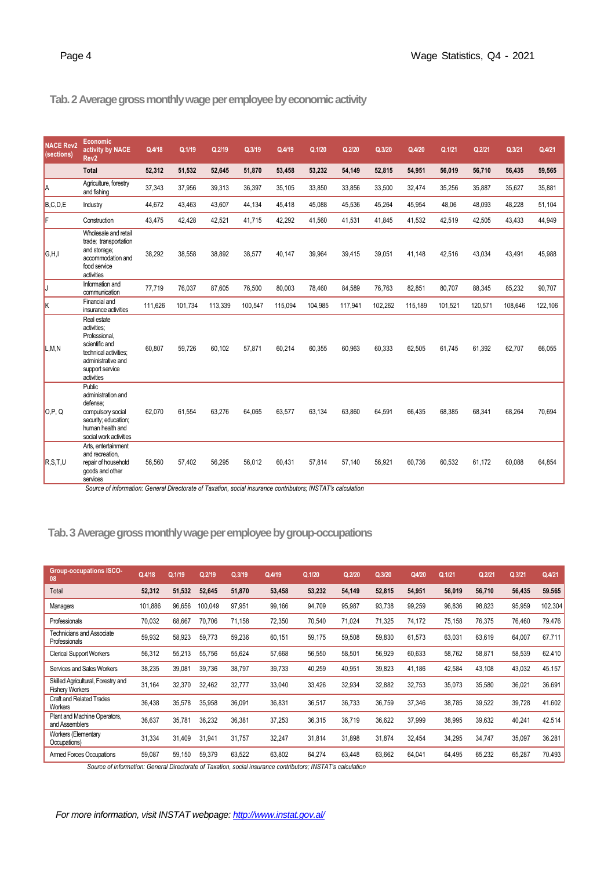# **Tab.2 Average gross monthly wage per employee by economic activity**

| <b>NACE Rev2</b><br>(sections) | Economic<br>activity by NACE<br>Rev <sub>2</sub>                                                                                              | Q.4/18  | Q.1/19  | Q.2/19  | Q.3/19  | Q.4/19  | Q.1/20  | Q.2/20  | Q.3/20  | Q.4/20  | Q.1/21  | Q.2/21  | Q.3/21  | Q.4/21  |
|--------------------------------|-----------------------------------------------------------------------------------------------------------------------------------------------|---------|---------|---------|---------|---------|---------|---------|---------|---------|---------|---------|---------|---------|
|                                | <b>Total</b>                                                                                                                                  | 52,312  | 51,532  | 52,645  | 51,870  | 53,458  | 53,232  | 54,149  | 52,815  | 54,951  | 56,019  | 56,710  | 56,435  | 59,565  |
| la                             | Agriculture, forestry<br>and fishing                                                                                                          | 37,343  | 37,956  | 39,313  | 36,397  | 35,105  | 33,850  | 33,856  | 33,500  | 32,474  | 35,256  | 35,887  | 35,627  | 35,881  |
| B.C.D.E                        | Industry                                                                                                                                      | 44,672  | 43,463  | 43,607  | 44,134  | 45,418  | 45,088  | 45,536  | 45,264  | 45,954  | 48,06   | 48,093  | 48,228  | 51,104  |
| F                              | Construction                                                                                                                                  | 43.475  | 42.428  | 42,521  | 41,715  | 42,292  | 41.560  | 41,531  | 41,845  | 41,532  | 42,519  | 42,505  | 43,433  | 44,949  |
| G.H.I                          | Wholesale and retail<br>trade; transportation<br>and storage;<br>accommodation and<br>food service<br>activities                              | 38,292  | 38,558  | 38,892  | 38,577  | 40,147  | 39,964  | 39,415  | 39,051  | 41.148  | 42,516  | 43,034  | 43,491  | 45,988  |
| IJ                             | Information and<br>communication                                                                                                              | 77,719  | 76,037  | 87,605  | 76,500  | 80,003  | 78,460  | 84,589  | 76,763  | 82,851  | 80,707  | 88,345  | 85,232  | 90,707  |
| Ιĸ                             | Financial and<br>insurance activities                                                                                                         | 111.626 | 101,734 | 113,339 | 100.547 | 115,094 | 104,985 | 117,941 | 102,262 | 115,189 | 101,521 | 120,571 | 108,646 | 122,106 |
| L,M,N                          | Real estate<br>activities:<br>Professional.<br>scientific and<br>technical activities:<br>administrative and<br>support service<br>activities | 60.807  | 59,726  | 60,102  | 57,871  | 60,214  | 60,355  | 60,963  | 60,333  | 62,505  | 61,745  | 61,392  | 62,707  | 66,055  |
| O.P. Q                         | Public<br>administration and<br>defense:<br>compulsory social<br>security; education;<br>human health and<br>social work activities           | 62,070  | 61,554  | 63,276  | 64,065  | 63,577  | 63,134  | 63,860  | 64,591  | 66,435  | 68,385  | 68,341  | 68,264  | 70,694  |
| R.S.T.U                        | Arts, entertainment<br>and recreation,<br>repair of household<br>goods and other<br>services                                                  | 56.560  | 57.402  | 56,295  | 56.012  | 60.431  | 57.814  | 57.140  | 56.921  | 60.736  | 60,532  | 61.172  | 60.088  | 64,854  |

*Source of information: General Directorate of Taxation, social insurance contributors; INSTAT's calculation*

# **Tab.3Average gross monthly wage per employee by group-occupations**

| <b>Group-occupations ISCO-</b><br>08                         | Q.4/18  | Q.1/19 | Q.2/19  | Q.3/19 | Q.4/19 | Q.1/20 | Q.2/20 | Q.3/20 | Q4/20  | Q.1/21 | Q.2/21 | Q.3/21 | Q.4/21  |
|--------------------------------------------------------------|---------|--------|---------|--------|--------|--------|--------|--------|--------|--------|--------|--------|---------|
| Total                                                        | 52,312  | 51,532 | 52.645  | 51.870 | 53,458 | 53,232 | 54.149 | 52,815 | 54,951 | 56,019 | 56,710 | 56,435 | 59.565  |
| Managers                                                     | 101,886 | 96,656 | 100.049 | 97,951 | 99,166 | 94,709 | 95,987 | 93,738 | 99,259 | 96,836 | 98,823 | 95,959 | 102.304 |
| Professionals                                                | 70,032  | 68.667 | 70.706  | 71,158 | 72,350 | 70,540 | 71.024 | 71,325 | 74,172 | 75,158 | 76,375 | 76,460 | 79.476  |
| <b>Technicians and Associate</b><br>Professionals            | 59,932  | 58,923 | 59,773  | 59,236 | 60,151 | 59,175 | 59,508 | 59,830 | 61,573 | 63,031 | 63,619 | 64,007 | 67.711  |
| <b>Clerical Support Workers</b>                              | 56,312  | 55,213 | 55.756  | 55,624 | 57,668 | 56,550 | 58,501 | 56,929 | 60,633 | 58,762 | 58,871 | 58,539 | 62.410  |
| Services and Sales Workers                                   | 38,235  | 39,081 | 39.736  | 38,797 | 39,733 | 40,259 | 40,951 | 39,823 | 41,186 | 42,584 | 43,108 | 43,032 | 45.157  |
| Skilled Agricultural, Forestry and<br><b>Fishery Workers</b> | 31,164  | 32,370 | 32,462  | 32,777 | 33,040 | 33,426 | 32,934 | 32,882 | 32,753 | 35,073 | 35,580 | 36,021 | 36.691  |
| <b>Craft and Related Trades</b><br><b>Workers</b>            | 36,438  | 35,578 | 35,958  | 36,091 | 36,831 | 36,517 | 36,733 | 36,759 | 37,346 | 38,785 | 39,522 | 39,728 | 41.602  |
| Plant and Machine Operators,<br>and Assemblers               | 36,637  | 35,781 | 36,232  | 36,381 | 37,253 | 36,315 | 36,719 | 36,622 | 37,999 | 38,995 | 39,632 | 40,241 | 42.514  |
| <b>Workers (Elementary</b><br>Occupations)                   | 31,334  | 31,409 | 31,941  | 31,757 | 32,247 | 31,814 | 31,898 | 31,874 | 32,454 | 34,295 | 34,747 | 35,097 | 36.281  |
| Armed Forces Occupations                                     | 59,087  | 59,150 | 59,379  | 63,522 | 63,802 | 64,274 | 63.448 | 63,662 | 64,041 | 64,495 | 65,232 | 65,287 | 70.493  |

*Source of information: General Directorate of Taxation, social insurance contributors; INSTAT's calculation*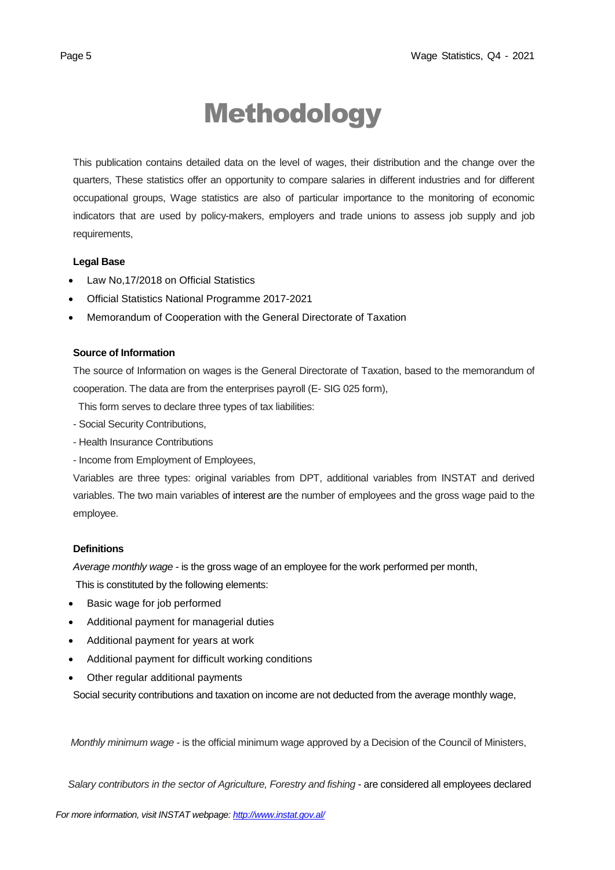# Methodology

This publication contains detailed data on the level of wages, their distribution and the change over the quarters, These statistics offer an opportunity to compare salaries in different industries and for different occupational groups, Wage statistics are also of particular importance to the monitoring of economic indicators that are used by policy-makers, employers and trade unions to assess job supply and job requirements,

### **Legal Base**

- [Law No,17/2018 on Official Statistics](http://instat.gov.al/media/3972/law-no17-2018-on-official-statistics.pdf)
- Official Statistics National Programme 2017-2021
- Memorandum of Cooperation with the General Directorate of Taxation

## **Source of Information**

The source of Information on wages is the General Directorate of Taxation, based to the memorandum of cooperation. The data are from the enterprises payroll (E- SIG 025 form),

This form serves to declare three types of tax liabilities:

- Social Security Contributions,
- Health Insurance Contributions
- Income from Employment of Employees,

Variables are three types: original variables from DPT, additional variables from INSTAT and derived variables. The two main variables of interest are the number of employees and the gross wage paid to the employee.

## **Definitions**

*Average monthly wage* - is the gross wage of an employee for the work performed per month,

This is constituted by the following elements:

- Basic wage for job performed
- Additional payment for managerial duties
- Additional payment for years at work
- Additional payment for difficult working conditions
- Other regular additional payments

Social security contributions and taxation on income are not deducted from the average monthly wage,

*Monthly minimum wage* - is the official minimum wage approved by a Decision of the Council of Ministers,

 *Salary contributors in the sector of Agriculture, Forestry and fishing* - are considered all employees declared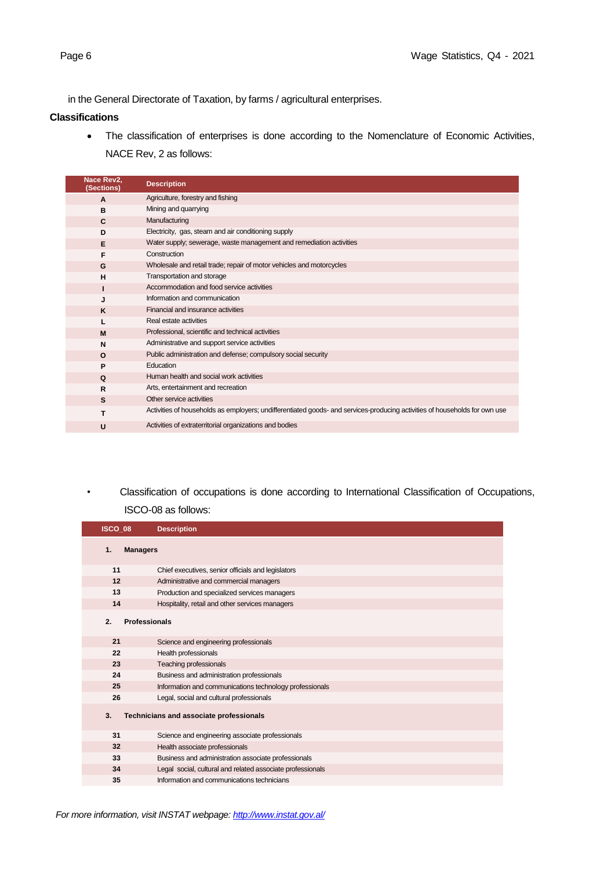in the General Directorate of Taxation, by farms / agricultural enterprises.

### **Classifications**

• The classification of enterprises is done according to the Nomenclature of Economic Activities, NACE Rev, 2 as follows:

| Nace Rev2,<br>(Sections) | <b>Description</b>                                                                                                         |
|--------------------------|----------------------------------------------------------------------------------------------------------------------------|
| $\mathbf{A}$             | Agriculture, forestry and fishing                                                                                          |
| B                        | Mining and quarrying                                                                                                       |
| C                        | Manufacturing                                                                                                              |
| D                        | Electricity, gas, steam and air conditioning supply                                                                        |
| Е                        | Water supply; sewerage, waste management and remediation activities                                                        |
| F                        | Construction                                                                                                               |
| G                        | Wholesale and retail trade; repair of motor vehicles and motorcycles                                                       |
| H                        | Transportation and storage                                                                                                 |
|                          | Accommodation and food service activities                                                                                  |
| J                        | Information and communication                                                                                              |
| K                        | Financial and insurance activities                                                                                         |
|                          | Real estate activities                                                                                                     |
| M                        | Professional, scientific and technical activities                                                                          |
| N                        | Administrative and support service activities                                                                              |
| $\Omega$                 | Public administration and defense; compulsory social security                                                              |
| P                        | Education                                                                                                                  |
| Q                        | Human health and social work activities                                                                                    |
| $\mathsf{R}$             | Arts, entertainment and recreation                                                                                         |
| s                        | Other service activities                                                                                                   |
| т                        | Activities of households as employers; undifferentiated goods- and services-producing activities of households for own use |
| U                        | Activities of extraterritorial organizations and bodies                                                                    |

*•* Classification of occupations is done according to International Classification of Occupations, ISCO-08 as follows:

| ISCO 08               | <b>Description</b>                                         |
|-----------------------|------------------------------------------------------------|
| 1.<br><b>Managers</b> |                                                            |
| 11                    | Chief executives, senior officials and legislators         |
| 12                    | Administrative and commercial managers                     |
| 13                    | Production and specialized services managers               |
| 14                    | Hospitality, retail and other services managers            |
| 2.                    | <b>Professionals</b>                                       |
| 21                    | Science and engineering professionals                      |
| 22                    | Health professionals                                       |
| 23                    | Teaching professionals                                     |
| 24                    | Business and administration professionals                  |
| 25                    | Information and communications technology professionals    |
| 26                    | Legal, social and cultural professionals                   |
| 3.                    | Technicians and associate professionals                    |
| 31                    | Science and engineering associate professionals            |
| 32                    | Health associate professionals                             |
| 33                    | Business and administration associate professionals        |
| 34                    | Legal social, cultural and related associate professionals |
| 35                    | Information and communications technicians                 |